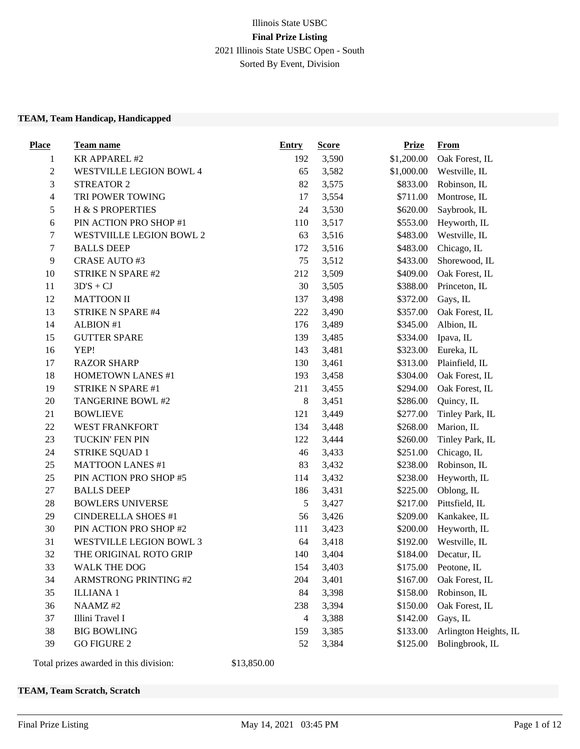## Illinois State USBC **Final Prize Listing** 2021 Illinois State USBC Open - South Sorted By Event, Division

#### **TEAM, Team Handicap, Handicapped**

| <b>Place</b>     | Team name                      | <b>Entry</b>   | <b>Score</b> | <b>Prize</b> | <b>From</b>           |
|------------------|--------------------------------|----------------|--------------|--------------|-----------------------|
| $\mathbf{1}$     | <b>KR APPAREL #2</b>           | 192            | 3,590        | \$1,200.00   | Oak Forest, IL        |
| $\boldsymbol{2}$ | WESTVILLE LEGION BOWL 4        | 65             | 3,582        | \$1,000.00   | Westville, IL         |
| $\mathfrak{Z}$   | <b>STREATOR 2</b>              | 82             | 3,575        | \$833.00     | Robinson, IL          |
| $\overline{4}$   | TRI POWER TOWING               | 17             | 3,554        | \$711.00     | Montrose, IL          |
| $\mathfrak{S}$   | H & S PROPERTIES               | 24             | 3,530        | \$620.00     | Saybrook, IL          |
| $\sqrt{6}$       | PIN ACTION PRO SHOP #1         | 110            | 3,517        | \$553.00     | Heyworth, IL          |
| $\tau$           | WESTVIILLE LEGION BOWL 2       | 63             | 3,516        | \$483.00     | Westville, IL         |
| $\tau$           | <b>BALLS DEEP</b>              | 172            | 3,516        | \$483.00     | Chicago, IL           |
| $\overline{9}$   | <b>CRASE AUTO #3</b>           | 75             | 3,512        | \$433.00     | Shorewood, IL         |
| 10               | STRIKE N SPARE #2              | 212            | 3,509        | \$409.00     | Oak Forest, IL        |
| 11               | $3D'S + CJ$                    | 30             | 3,505        | \$388.00     | Princeton, IL         |
| 12               | <b>MATTOON II</b>              | 137            | 3,498        | \$372.00     | Gays, IL              |
| 13               | STRIKE N SPARE #4              | 222            | 3,490        | \$357.00     | Oak Forest, IL        |
| 14               | <b>ALBION #1</b>               | 176            | 3,489        | \$345.00     | Albion, IL            |
| 15               | <b>GUTTER SPARE</b>            | 139            | 3,485        | \$334.00     | Ipava, IL             |
| 16               | YEP!                           | 143            | 3,481        | \$323.00     | Eureka, IL            |
| 17               | <b>RAZOR SHARP</b>             | 130            | 3,461        | \$313.00     | Plainfield, IL        |
| 18               | <b>HOMETOWN LANES #1</b>       | 193            | 3,458        | \$304.00     | Oak Forest, IL        |
| 19               | STRIKE N SPARE #1              | 211            | 3,455        | \$294.00     | Oak Forest, IL        |
| 20               | TANGERINE BOWL #2              | $\,8\,$        | 3,451        | \$286.00     | Quincy, IL            |
| 21               | <b>BOWLIEVE</b>                | 121            | 3,449        | \$277.00     | Tinley Park, IL       |
| $22\,$           | <b>WEST FRANKFORT</b>          | 134            | 3,448        | \$268.00     | Marion, IL            |
| 23               | TUCKIN' FEN PIN                | 122            | 3,444        | \$260.00     | Tinley Park, IL       |
| 24               | <b>STRIKE SQUAD 1</b>          | 46             | 3,433        | \$251.00     | Chicago, IL           |
| 25               | <b>MATTOON LANES #1</b>        | 83             | 3,432        | \$238.00     | Robinson, IL          |
| 25               | PIN ACTION PRO SHOP #5         | 114            | 3,432        | \$238.00     | Heyworth, IL          |
| 27               | <b>BALLS DEEP</b>              | 186            | 3,431        | \$225.00     | Oblong, IL            |
| $28\,$           | <b>BOWLERS UNIVERSE</b>        | $\sqrt{5}$     | 3,427        | \$217.00     | Pittsfield, IL        |
| 29               | <b>CINDERELLA SHOES #1</b>     | 56             | 3,426        | \$209.00     | Kankakee, IL          |
| 30               | PIN ACTION PRO SHOP #2         | 111            | 3,423        | \$200.00     | Heyworth, IL          |
| 31               | <b>WESTVILLE LEGION BOWL 3</b> | 64             | 3,418        | \$192.00     | Westville, IL         |
| 32               | THE ORIGINAL ROTO GRIP         | 140            | 3,404        | \$184.00     | Decatur, IL           |
| 33               | <b>WALK THE DOG</b>            | 154            | 3,403        | \$175.00     | Peotone, IL           |
| 34               | <b>ARMSTRONG PRINTING #2</b>   | 204            | 3,401        | \$167.00     | Oak Forest, IL        |
| 35               | <b>ILLIANA1</b>                | 84             | 3,398        | \$158.00     | Robinson, IL          |
| 36               | NAAMZ#2                        | 238            | 3,394        | \$150.00     | Oak Forest, IL        |
| 37               | Illini Travel I                | $\overline{4}$ | 3,388        | \$142.00     | Gays, IL              |
| 38               | <b>BIG BOWLING</b>             | 159            | 3,385        | \$133.00     | Arlington Heights, IL |
| 39               | <b>GO FIGURE 2</b>             | 52             | 3,384        | \$125.00     | Bolingbrook, IL       |

Total prizes awarded in this division: \$13,850.00

#### **TEAM, Team Scratch, Scratch**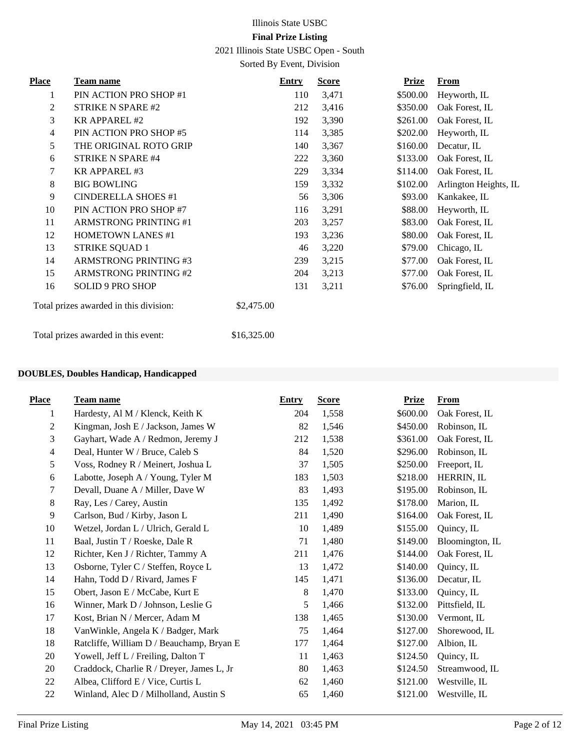2021 Illinois State USBC Open - South

Sorted By Event, Division

| <b>Place</b> | <b>Team name</b>                       | <b>Entry</b> | <b>Score</b> | <b>Prize</b> | <b>From</b>           |
|--------------|----------------------------------------|--------------|--------------|--------------|-----------------------|
| 1            | PIN ACTION PRO SHOP #1                 | 110          | 3,471        | \$500.00     | Heyworth, IL          |
| 2            | <b>STRIKE N SPARE #2</b>               | 212          | 3,416        | \$350.00     | Oak Forest, IL        |
| 3            | <b>KR APPAREL #2</b>                   | 192          | 3,390        | \$261.00     | Oak Forest, IL        |
| 4            | PIN ACTION PRO SHOP #5                 | 114          | 3,385        | \$202.00     | Heyworth, IL          |
| 5            | THE ORIGINAL ROTO GRIP                 | 140          | 3,367        | \$160.00     | Decatur, IL           |
| 6            | <b>STRIKE N SPARE #4</b>               | 222          | 3,360        | \$133.00     | Oak Forest, IL        |
| 7            | <b>KR APPAREL #3</b>                   | 229          | 3,334        | \$114.00     | Oak Forest, IL        |
| 8            | <b>BIG BOWLING</b>                     | 159          | 3,332        | \$102.00     | Arlington Heights, IL |
| 9            | <b>CINDERELLA SHOES #1</b>             | 56           | 3,306        | \$93.00      | Kankakee, IL          |
| 10           | PIN ACTION PRO SHOP #7                 | 116          | 3,291        | \$88.00      | Heyworth, IL          |
| 11           | <b>ARMSTRONG PRINTING #1</b>           | 203          | 3,257        | \$83.00      | Oak Forest, IL        |
| 12           | <b>HOMETOWN LANES #1</b>               | 193          | 3,236        | \$80.00      | Oak Forest, IL        |
| 13           | <b>STRIKE SQUAD 1</b>                  | 46           | 3,220        | \$79.00      | Chicago, IL           |
| 14           | <b>ARMSTRONG PRINTING#3</b>            | 239          | 3,215        | \$77.00      | Oak Forest, IL        |
| 15           | <b>ARMSTRONG PRINTING #2</b>           | 204          | 3,213        | \$77.00      | Oak Forest, IL        |
| 16           | <b>SOLID 9 PRO SHOP</b>                | 131          | 3,211        | \$76.00      | Springfield, IL       |
|              | Total prizes awarded in this division: | \$2,475.00   |              |              |                       |
|              | Total prizes awarded in this event:    | \$16,325.00  |              |              |                       |

#### **DOUBLES, Doubles Handicap, Handicapped**

| <b>Place</b>   | Team name                                 | Entry | <b>Score</b> | <b>Prize</b> | From            |
|----------------|-------------------------------------------|-------|--------------|--------------|-----------------|
| 1              | Hardesty, Al M / Klenck, Keith K          | 204   | 1,558        | \$600.00     | Oak Forest, IL  |
| $\mathbf{2}$   | Kingman, Josh E / Jackson, James W        | 82    | 1,546        | \$450.00     | Robinson, IL    |
| 3              | Gayhart, Wade A / Redmon, Jeremy J        | 212   | 1,538        | \$361.00     | Oak Forest, IL  |
| $\overline{4}$ | Deal, Hunter W / Bruce, Caleb S           | 84    | 1,520        | \$296.00     | Robinson, IL    |
| 5              | Voss, Rodney R / Meinert, Joshua L        | 37    | 1,505        | \$250.00     | Freeport, IL    |
| 6              | Labotte, Joseph A / Young, Tyler M        | 183   | 1,503        | \$218.00     | HERRIN, IL      |
| 7              | Devall, Duane A / Miller, Dave W          | 83    | 1,493        | \$195.00     | Robinson, IL    |
| $\,8\,$        | Ray, Les / Carey, Austin                  | 135   | 1,492        | \$178.00     | Marion, IL      |
| 9              | Carlson, Bud / Kirby, Jason L             | 211   | 1,490        | \$164.00     | Oak Forest, IL  |
| 10             | Wetzel, Jordan L / Ulrich, Gerald L       | 10    | 1,489        | \$155.00     | Quincy, IL      |
| 11             | Baal, Justin T / Roeske, Dale R           | 71    | 1,480        | \$149.00     | Bloomington, IL |
| 12             | Richter, Ken J / Richter, Tammy A         | 211   | 1,476        | \$144.00     | Oak Forest, IL  |
| 13             | Osborne, Tyler C / Steffen, Royce L       | 13    | 1,472        | \$140.00     | Quincy, IL      |
| 14             | Hahn, Todd D / Rivard, James F            | 145   | 1,471        | \$136.00     | Decatur, IL     |
| 15             | Obert, Jason E / McCabe, Kurt E           | 8     | 1,470        | \$133.00     | Quincy, IL      |
| 16             | Winner, Mark D / Johnson, Leslie G        | 5     | 1,466        | \$132.00     | Pittsfield, IL  |
| 17             | Kost, Brian N / Mercer, Adam M            | 138   | 1,465        | \$130.00     | Vermont, IL     |
| 18             | VanWinkle, Angela K / Badger, Mark        | 75    | 1,464        | \$127.00     | Shorewood, IL   |
| 18             | Ratcliffe, William D / Beauchamp, Bryan E | 177   | 1,464        | \$127.00     | Albion, IL      |
| 20             | Yowell, Jeff L / Freiling, Dalton T       | 11    | 1,463        | \$124.50     | Quincy, IL      |
| 20             | Craddock, Charlie R / Dreyer, James L, Jr | 80    | 1,463        | \$124.50     | Streamwood, IL  |
| 22             | Albea, Clifford E / Vice, Curtis L        | 62    | 1,460        | \$121.00     | Westville, IL   |
| 22             | Winland, Alec D / Milholland, Austin S    | 65    | 1,460        | \$121.00     | Westville, IL   |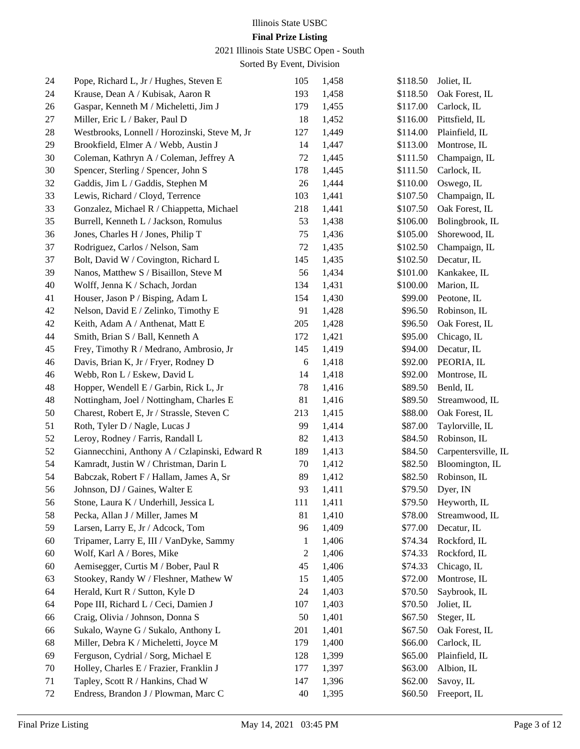# Illinois State USBC

## **Final Prize Listing**

2021 Illinois State USBC Open - South

| 24 | Pope, Richard L, Jr / Hughes, Steven E         | 105          | 1,458 | \$118.50 | Joliet, IL          |
|----|------------------------------------------------|--------------|-------|----------|---------------------|
| 24 | Krause, Dean A / Kubisak, Aaron R              | 193          | 1,458 | \$118.50 | Oak Forest, IL      |
| 26 | Gaspar, Kenneth M / Micheletti, Jim J          | 179          | 1,455 | \$117.00 | Carlock, IL         |
| 27 | Miller, Eric L / Baker, Paul D                 | 18           | 1,452 | \$116.00 | Pittsfield, IL      |
| 28 | Westbrooks, Lonnell / Horozinski, Steve M, Jr  | 127          | 1,449 | \$114.00 | Plainfield, IL      |
| 29 | Brookfield, Elmer A / Webb, Austin J           | 14           | 1,447 | \$113.00 | Montrose, IL        |
| 30 | Coleman, Kathryn A / Coleman, Jeffrey A        | 72           | 1,445 | \$111.50 | Champaign, IL       |
| 30 | Spencer, Sterling / Spencer, John S            | 178          | 1,445 | \$111.50 | Carlock, IL         |
| 32 | Gaddis, Jim L / Gaddis, Stephen M              | 26           | 1,444 | \$110.00 | Oswego, IL          |
| 33 | Lewis, Richard / Cloyd, Terrence               | 103          | 1,441 | \$107.50 | Champaign, IL       |
| 33 | Gonzalez, Michael R / Chiappetta, Michael      | 218          | 1,441 | \$107.50 | Oak Forest, IL      |
| 35 | Burrell, Kenneth L / Jackson, Romulus          | 53           | 1,438 | \$106.00 | Bolingbrook, IL     |
| 36 | Jones, Charles H / Jones, Philip T             | 75           | 1,436 | \$105.00 | Shorewood, IL       |
| 37 | Rodriguez, Carlos / Nelson, Sam                | 72           | 1,435 | \$102.50 | Champaign, IL       |
| 37 | Bolt, David W / Covington, Richard L           | 145          | 1,435 | \$102.50 | Decatur, IL         |
| 39 | Nanos, Matthew S / Bisaillon, Steve M          | 56           | 1,434 | \$101.00 | Kankakee, IL        |
| 40 | Wolff, Jenna K / Schach, Jordan                | 134          | 1,431 | \$100.00 | Marion, IL          |
| 41 | Houser, Jason P / Bisping, Adam L              | 154          | 1,430 | \$99.00  | Peotone, IL         |
| 42 | Nelson, David E / Zelinko, Timothy E           | 91           | 1,428 | \$96.50  | Robinson, IL        |
| 42 | Keith, Adam A / Anthenat, Matt E               | 205          | 1,428 | \$96.50  | Oak Forest, IL      |
| 44 | Smith, Brian S / Ball, Kenneth A               | 172          | 1,421 | \$95.00  | Chicago, IL         |
| 45 | Frey, Timothy R / Medrano, Ambrosio, Jr        | 145          | 1,419 | \$94.00  | Decatur, IL         |
| 46 | Davis, Brian K, Jr / Fryer, Rodney D           | 6            | 1,418 | \$92.00  | PEORIA, IL          |
| 46 | Webb, Ron L / Eskew, David L                   | 14           | 1,418 | \$92.00  | Montrose, IL        |
| 48 | Hopper, Wendell E / Garbin, Rick L, Jr         | 78           | 1,416 | \$89.50  | Benld, IL           |
| 48 | Nottingham, Joel / Nottingham, Charles E       | 81           | 1,416 | \$89.50  | Streamwood, IL      |
| 50 | Charest, Robert E, Jr / Strassle, Steven C     | 213          | 1,415 | \$88.00  | Oak Forest, IL      |
| 51 | Roth, Tyler D / Nagle, Lucas J                 | 99           | 1,414 | \$87.00  | Taylorville, IL     |
| 52 | Leroy, Rodney / Farris, Randall L              | 82           | 1,413 | \$84.50  | Robinson, IL        |
| 52 | Giannecchini, Anthony A / Czlapinski, Edward R | 189          | 1,413 | \$84.50  | Carpentersville, IL |
| 54 | Kamradt, Justin W / Christman, Darin L         | $70\,$       | 1,412 | \$82.50  | Bloomington, IL     |
| 54 | Babczak, Robert F / Hallam, James A, Sr        | 89           | 1,412 | \$82.50  | Robinson, IL        |
| 56 | Johnson, DJ / Gaines, Walter E                 | 93           | 1,411 | \$79.50  | Dyer, IN            |
| 56 | Stone, Laura K / Underhill, Jessica L          | 111          | 1,411 | \$79.50  | Heyworth, IL        |
| 58 | Pecka, Allan J / Miller, James M               | 81           | 1,410 | \$78.00  | Streamwood, IL      |
| 59 | Larsen, Larry E, Jr / Adcock, Tom              | 96           | 1,409 | \$77.00  | Decatur, IL         |
| 60 | Tripamer, Larry E, III / VanDyke, Sammy        | $\mathbf{1}$ | 1,406 | \$74.34  | Rockford, IL        |
| 60 | Wolf, Karl A / Bores, Mike                     | 2            | 1,406 | \$74.33  | Rockford, IL        |
| 60 | Aemisegger, Curtis M / Bober, Paul R           | 45           | 1,406 | \$74.33  | Chicago, IL         |
| 63 | Stookey, Randy W / Fleshner, Mathew W          | 15           | 1,405 | \$72.00  | Montrose, IL        |
| 64 | Herald, Kurt R / Sutton, Kyle D                | 24           | 1,403 | \$70.50  | Saybrook, IL        |
| 64 | Pope III, Richard L / Ceci, Damien J           | 107          | 1,403 | \$70.50  | Joliet, IL          |
| 66 | Craig, Olivia / Johnson, Donna S               | 50           | 1,401 | \$67.50  | Steger, IL          |
| 66 | Sukalo, Wayne G / Sukalo, Anthony L            | 201          | 1,401 | \$67.50  | Oak Forest, IL      |
| 68 | Miller, Debra K / Micheletti, Joyce M          | 179          | 1,400 | \$66.00  | Carlock, IL         |
| 69 | Ferguson, Cydrial / Sorg, Michael E            | 128          | 1,399 | \$65.00  | Plainfield, IL      |
| 70 | Holley, Charles E / Frazier, Franklin J        | 177          | 1,397 | \$63.00  | Albion, IL          |
| 71 | Tapley, Scott R / Hankins, Chad W              | 147          | 1,396 | \$62.00  | Savoy, IL           |
| 72 | Endress, Brandon J / Plowman, Marc C           | 40           | 1,395 | \$60.50  | Freeport, IL        |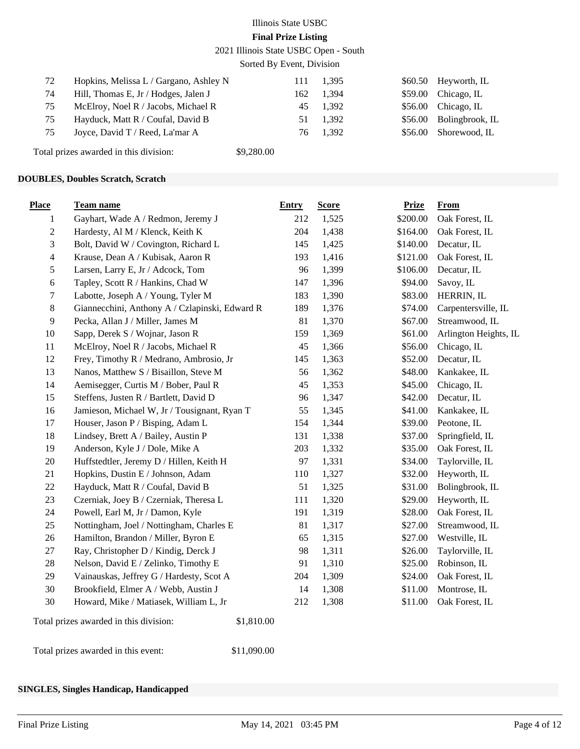2021 Illinois State USBC Open - South

Sorted By Event, Division

| 72 | Hopkins, Melissa L / Gargano, Ashley N |     | 111 1.395 | \$60.50 Heyworth, IL    |
|----|----------------------------------------|-----|-----------|-------------------------|
| 74 | Hill, Thomas E, Jr / Hodges, Jalen J   |     | 162 1,394 | $$59.00$ Chicago, IL    |
| 75 | McElroy, Noel R / Jacobs, Michael R    |     | 45 1,392  | $$56.00$ Chicago, IL    |
| 75 | Hayduck, Matt R / Coufal, David B      |     | 51 1.392  | \$56.00 Bolingbrook, IL |
| 75 | Joyce, David T / Reed, La'mar A        | 76. | 1.392     | \$56.00 Shorewood, IL   |
|    |                                        |     |           |                         |

Total prizes awarded in this division: \$9,280.00

#### **DOUBLES, Doubles Scratch, Scratch**

| <b>Place</b>   | Team name                                            | <b>Entry</b> | <b>Score</b> | <b>Prize</b> | From                  |
|----------------|------------------------------------------------------|--------------|--------------|--------------|-----------------------|
| 1              | Gayhart, Wade A / Redmon, Jeremy J                   | 212          | 1,525        | \$200.00     | Oak Forest, IL        |
| $\sqrt{2}$     | Hardesty, Al M / Klenck, Keith K                     | 204          | 1,438        | \$164.00     | Oak Forest, IL        |
| $\mathfrak{Z}$ | Bolt, David W / Covington, Richard L                 | 145          | 1,425        | \$140.00     | Decatur, IL           |
| $\overline{4}$ | Krause, Dean A / Kubisak, Aaron R                    | 193          | 1,416        | \$121.00     | Oak Forest, IL        |
| $\sqrt{5}$     | Larsen, Larry E, Jr / Adcock, Tom                    | 96           | 1,399        | \$106.00     | Decatur, IL           |
| $\sqrt{6}$     | Tapley, Scott R / Hankins, Chad W                    | 147          | 1,396        | \$94.00      | Savoy, IL             |
| $\tau$         | Labotte, Joseph A / Young, Tyler M                   | 183          | 1,390        | \$83.00      | HERRIN, IL            |
| $\,8\,$        | Giannecchini, Anthony A / Czlapinski, Edward R       | 189          | 1,376        | \$74.00      | Carpentersville, IL   |
| $\overline{9}$ | Pecka, Allan J / Miller, James M                     | 81           | 1,370        | \$67.00      | Streamwood, IL        |
| 10             | Sapp, Derek S / Wojnar, Jason R                      | 159          | 1,369        | \$61.00      | Arlington Heights, IL |
| 11             | McElroy, Noel R / Jacobs, Michael R                  | 45           | 1,366        | \$56.00      | Chicago, IL           |
| 12             | Frey, Timothy R / Medrano, Ambrosio, Jr              | 145          | 1,363        | \$52.00      | Decatur, IL           |
| 13             | Nanos, Matthew S / Bisaillon, Steve M                | 56           | 1,362        | \$48.00      | Kankakee, IL          |
| 14             | Aemisegger, Curtis M / Bober, Paul R                 | 45           | 1,353        | \$45.00      | Chicago, IL           |
| 15             | Steffens, Justen R / Bartlett, David D               | 96           | 1,347        | \$42.00      | Decatur, IL           |
| 16             | Jamieson, Michael W, Jr / Tousignant, Ryan T         | 55           | 1,345        | \$41.00      | Kankakee, IL          |
| 17             | Houser, Jason P / Bisping, Adam L                    | 154          | 1,344        | \$39.00      | Peotone, IL           |
| 18             | Lindsey, Brett A / Bailey, Austin P                  | 131          | 1,338        | \$37.00      | Springfield, IL       |
| 19             | Anderson, Kyle J / Dole, Mike A                      | 203          | 1,332        | \$35.00      | Oak Forest, IL        |
| 20             | Huffstedtler, Jeremy D / Hillen, Keith H             | 97           | 1,331        | \$34.00      | Taylorville, IL       |
| 21             | Hopkins, Dustin E / Johnson, Adam                    | 110          | 1,327        | \$32.00      | Heyworth, IL          |
| 22             | Hayduck, Matt R / Coufal, David B                    | 51           | 1,325        | \$31.00      | Bolingbrook, IL       |
| 23             | Czerniak, Joey B / Czerniak, Theresa L               | 111          | 1,320        | \$29.00      | Heyworth, IL          |
| 24             | Powell, Earl M, Jr / Damon, Kyle                     | 191          | 1,319        | \$28.00      | Oak Forest, IL        |
| 25             | Nottingham, Joel / Nottingham, Charles E             | 81           | 1,317        | \$27.00      | Streamwood, IL        |
| 26             | Hamilton, Brandon / Miller, Byron E                  | 65           | 1,315        | \$27.00      | Westville, IL         |
| 27             | Ray, Christopher D / Kindig, Derck J                 | 98           | 1,311        | \$26.00      | Taylorville, IL       |
| 28             | Nelson, David E / Zelinko, Timothy E                 | 91           | 1,310        | \$25.00      | Robinson, IL          |
| 29             | Vainauskas, Jeffrey G / Hardesty, Scot A             | 204          | 1,309        | \$24.00      | Oak Forest, IL        |
| 30             | Brookfield, Elmer A / Webb, Austin J                 | 14           | 1,308        | \$11.00      | Montrose, IL          |
| 30             | Howard, Mike / Matiasek, William L, Jr               | 212          | 1,308        | \$11.00      | Oak Forest, IL        |
|                | Total prizes awarded in this division:<br>\$1,810.00 |              |              |              |                       |

Total prizes awarded in this event: \$11,090.00

#### **SINGLES, Singles Handicap, Handicapped**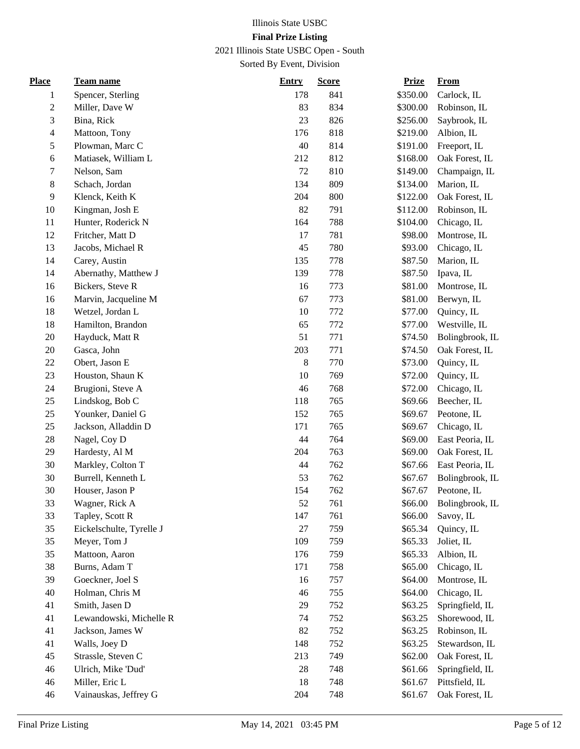2021 Illinois State USBC Open - South

| <b>Place</b>   | Team name                | <b>Entry</b> | <b>Score</b> | <b>Prize</b> | From            |
|----------------|--------------------------|--------------|--------------|--------------|-----------------|
| 1              | Spencer, Sterling        | 178          | 841          | \$350.00     | Carlock, IL     |
| $\sqrt{2}$     | Miller, Dave W           | 83           | 834          | \$300.00     | Robinson, IL    |
| 3              | Bina, Rick               | 23           | 826          | \$256.00     | Saybrook, IL    |
| $\overline{4}$ | Mattoon, Tony            | 176          | 818          | \$219.00     | Albion, IL      |
| 5              | Plowman, Marc C          | 40           | 814          | \$191.00     | Freeport, IL    |
| $\sqrt{6}$     | Matiasek, William L      | 212          | 812          | \$168.00     | Oak Forest, IL  |
| $\tau$         | Nelson, Sam              | 72           | 810          | \$149.00     | Champaign, IL   |
| $\,8\,$        | Schach, Jordan           | 134          | 809          | \$134.00     | Marion, IL      |
| 9              | Klenck, Keith K          | 204          | 800          | \$122.00     | Oak Forest, IL  |
| 10             | Kingman, Josh E          | 82           | 791          | \$112.00     | Robinson, IL    |
| 11             | Hunter, Roderick N       | 164          | 788          | \$104.00     | Chicago, IL     |
| 12             | Fritcher, Matt D         | 17           | 781          | \$98.00      | Montrose, IL    |
| 13             | Jacobs, Michael R        | 45           | 780          | \$93.00      | Chicago, IL     |
| 14             | Carey, Austin            | 135          | 778          | \$87.50      | Marion, IL      |
| 14             | Abernathy, Matthew J     | 139          | 778          | \$87.50      | Ipava, IL       |
| 16             | Bickers, Steve R         | 16           | 773          | \$81.00      | Montrose, IL    |
| 16             | Marvin, Jacqueline M     | 67           | 773          | \$81.00      | Berwyn, IL      |
| 18             | Wetzel, Jordan L         | 10           | 772          | \$77.00      | Quincy, IL      |
| 18             | Hamilton, Brandon        | 65           | 772          | \$77.00      | Westville, IL   |
| 20             | Hayduck, Matt R          | 51           | 771          | \$74.50      | Bolingbrook, IL |
| 20             | Gasca, John              | 203          | 771          | \$74.50      | Oak Forest, IL  |
| 22             | Obert, Jason E           | $\,8\,$      | 770          | \$73.00      | Quincy, IL      |
| 23             | Houston, Shaun K         | 10           | 769          | \$72.00      | Quincy, IL      |
| 24             | Brugioni, Steve A        | 46           | 768          | \$72.00      | Chicago, IL     |
| 25             | Lindskog, Bob C          | 118          | 765          | \$69.66      | Beecher, IL     |
| 25             | Younker, Daniel G        | 152          | 765          | \$69.67      | Peotone, IL     |
| 25             | Jackson, Alladdin D      | 171          | 765          | \$69.67      | Chicago, IL     |
| 28             | Nagel, Coy D             | 44           | 764          | \$69.00      | East Peoria, IL |
| 29             | Hardesty, Al M           | 204          | 763          | \$69.00      | Oak Forest, IL  |
| 30             | Markley, Colton T        | 44           | 762          | \$67.66      | East Peoria, IL |
| 30             | Burrell, Kenneth L       | 53           | 762          | \$67.67      | Bolingbrook, IL |
| 30             | Houser, Jason P          | 154          | 762          | \$67.67      | Peotone, IL     |
| 33             | Wagner, Rick A           | 52           | 761          | \$66.00      | Bolingbrook, IL |
| 33             | Tapley, Scott R          | 147          | 761          | \$66.00      | Savoy, IL       |
| 35             | Eickelschulte, Tyrelle J | $27\,$       | 759          | \$65.34      | Quincy, IL      |
| 35             | Meyer, Tom J             | 109          | 759          | \$65.33      | Joliet, IL      |
| 35             | Mattoon, Aaron           | 176          | 759          | \$65.33      | Albion, IL      |
| 38             | Burns, Adam T            | 171          | 758          | \$65.00      | Chicago, IL     |
| 39             | Goeckner, Joel S         | 16           | 757          | \$64.00      | Montrose, IL    |
| 40             | Holman, Chris M          | 46           | 755          | \$64.00      | Chicago, IL     |
| 41             | Smith, Jasen D           | 29           | 752          | \$63.25      | Springfield, IL |
| 41             | Lewandowski, Michelle R  | 74           | 752          | \$63.25      | Shorewood, IL   |
| 41             | Jackson, James W         | 82           | 752          | \$63.25      | Robinson, IL    |
| 41             | Walls, Joey D            | 148          | 752          | \$63.25      | Stewardson, IL  |
| 45             | Strassle, Steven C       | 213          | 749          | \$62.00      | Oak Forest, IL  |
| 46             | Ulrich, Mike 'Dud'       | 28           | 748          | \$61.66      | Springfield, IL |
| 46             | Miller, Eric L           | 18           | 748          | \$61.67      | Pittsfield, IL  |
| 46             | Vainauskas, Jeffrey G    | 204          | 748          | \$61.67      | Oak Forest, IL  |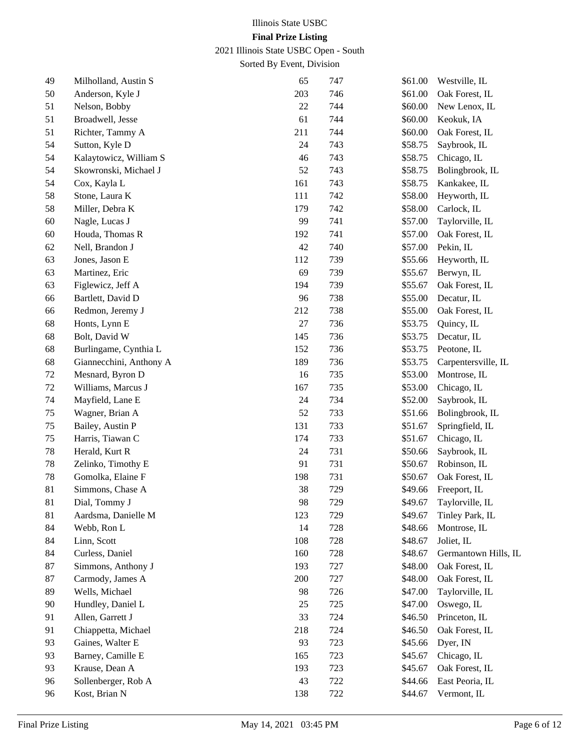2021 Illinois State USBC Open - South

| 49 | Milholland, Austin S    | 65     | 747 | \$61.00 | Westville, IL        |
|----|-------------------------|--------|-----|---------|----------------------|
| 50 | Anderson, Kyle J        | 203    | 746 | \$61.00 | Oak Forest, IL       |
| 51 | Nelson, Bobby           | 22     | 744 | \$60.00 | New Lenox, IL        |
| 51 | Broadwell, Jesse        | 61     | 744 | \$60.00 | Keokuk, IA           |
| 51 | Richter, Tammy A        | 211    | 744 | \$60.00 | Oak Forest, IL       |
| 54 | Sutton, Kyle D          | 24     | 743 | \$58.75 | Saybrook, IL         |
| 54 | Kalaytowicz, William S  | 46     | 743 | \$58.75 | Chicago, IL          |
| 54 | Skowronski, Michael J   | 52     | 743 | \$58.75 | Bolingbrook, IL      |
| 54 | Cox, Kayla L            | 161    | 743 | \$58.75 | Kankakee, IL         |
| 58 | Stone, Laura K          | 111    | 742 | \$58.00 | Heyworth, IL         |
| 58 | Miller, Debra K         | 179    | 742 | \$58.00 | Carlock, IL          |
| 60 | Nagle, Lucas J          | 99     | 741 | \$57.00 | Taylorville, IL      |
| 60 | Houda, Thomas R         | 192    | 741 | \$57.00 | Oak Forest, IL       |
| 62 | Nell, Brandon J         | 42     | 740 | \$57.00 | Pekin, IL            |
| 63 | Jones, Jason E          | 112    | 739 | \$55.66 | Heyworth, IL         |
| 63 | Martinez, Eric          | 69     | 739 | \$55.67 | Berwyn, IL           |
| 63 | Figlewicz, Jeff A       | 194    | 739 | \$55.67 | Oak Forest, IL       |
| 66 | Bartlett, David D       | 96     | 738 | \$55.00 | Decatur, IL          |
| 66 | Redmon, Jeremy J        | 212    | 738 | \$55.00 | Oak Forest, IL       |
| 68 | Honts, Lynn E           | $27\,$ | 736 | \$53.75 | Quincy, IL           |
| 68 | Bolt, David W           | 145    | 736 | \$53.75 | Decatur, IL          |
| 68 | Burlingame, Cynthia L   | 152    | 736 | \$53.75 | Peotone, IL          |
| 68 | Giannecchini, Anthony A | 189    | 736 | \$53.75 | Carpentersville, IL  |
| 72 | Mesnard, Byron D        | 16     | 735 | \$53.00 | Montrose, IL         |
| 72 | Williams, Marcus J      | 167    | 735 | \$53.00 | Chicago, IL          |
| 74 | Mayfield, Lane E        | 24     | 734 | \$52.00 | Saybrook, IL         |
| 75 | Wagner, Brian A         | 52     | 733 | \$51.66 | Bolingbrook, IL      |
| 75 | Bailey, Austin P        | 131    | 733 | \$51.67 | Springfield, IL      |
| 75 | Harris, Tiawan C        | 174    | 733 | \$51.67 | Chicago, IL          |
| 78 | Herald, Kurt R          | 24     | 731 | \$50.66 | Saybrook, IL         |
| 78 | Zelinko, Timothy E      | 91     | 731 | \$50.67 | Robinson, IL         |
| 78 | Gomolka, Elaine F       | 198    | 731 | \$50.67 | Oak Forest, IL       |
| 81 | Simmons, Chase A        | 38     | 729 | \$49.66 | Freeport, IL         |
| 81 | Dial, Tommy J           | 98     | 729 | \$49.67 | Taylorville, IL      |
| 81 | Aardsma, Danielle M     | 123    | 729 | \$49.67 | Tinley Park, IL      |
| 84 | Webb, Ron L             | 14     | 728 | \$48.66 | Montrose, IL         |
| 84 | Linn, Scott             | 108    | 728 | \$48.67 | Joliet, IL           |
| 84 | Curless, Daniel         | 160    | 728 | \$48.67 | Germantown Hills, IL |
| 87 | Simmons, Anthony J      | 193    | 727 | \$48.00 | Oak Forest, IL       |
| 87 | Carmody, James A        | 200    | 727 | \$48.00 | Oak Forest, IL       |
| 89 | Wells, Michael          | 98     | 726 | \$47.00 | Taylorville, IL      |
| 90 | Hundley, Daniel L       | 25     | 725 | \$47.00 | Oswego, IL           |
| 91 | Allen, Garrett J        | 33     | 724 | \$46.50 | Princeton, IL        |
| 91 | Chiappetta, Michael     | 218    | 724 | \$46.50 | Oak Forest, IL       |
| 93 | Gaines, Walter E        | 93     | 723 | \$45.66 | Dyer, IN             |
| 93 | Barney, Camille E       | 165    | 723 | \$45.67 | Chicago, IL          |
| 93 | Krause, Dean A          | 193    | 723 | \$45.67 | Oak Forest, IL       |
| 96 | Sollenberger, Rob A     | 43     | 722 | \$44.66 | East Peoria, IL      |
| 96 | Kost, Brian N           | 138    | 722 | \$44.67 | Vermont, IL          |
|    |                         |        |     |         |                      |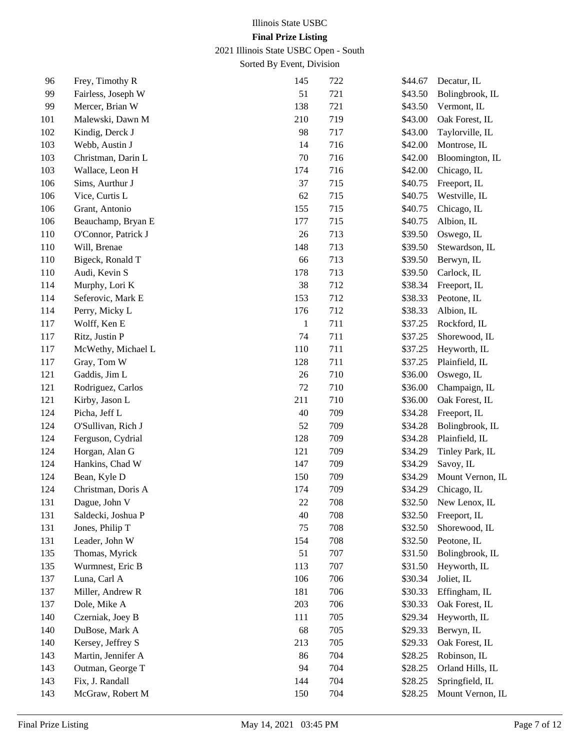2021 Illinois State USBC Open - South

| 96      | Frey, Timothy R     | 145          | 722 | \$44.67 | Decatur, IL      |
|---------|---------------------|--------------|-----|---------|------------------|
| 99      | Fairless, Joseph W  | 51           | 721 | \$43.50 | Bolingbrook, IL  |
| 99      | Mercer, Brian W     | 138          | 721 | \$43.50 | Vermont, IL      |
| 101     | Malewski, Dawn M    | 210          | 719 | \$43.00 | Oak Forest, IL   |
| $102\,$ | Kindig, Derck J     | 98           | 717 | \$43.00 | Taylorville, IL  |
| 103     | Webb, Austin J      | 14           | 716 | \$42.00 | Montrose, IL     |
| 103     | Christman, Darin L  | 70           | 716 | \$42.00 | Bloomington, IL  |
| 103     | Wallace, Leon H     | 174          | 716 | \$42.00 | Chicago, IL      |
| 106     | Sims, Aurthur J     | 37           | 715 | \$40.75 | Freeport, IL     |
| 106     | Vice, Curtis L      | 62           | 715 | \$40.75 | Westville, IL    |
| 106     | Grant, Antonio      | 155          | 715 | \$40.75 | Chicago, IL      |
| 106     | Beauchamp, Bryan E  | 177          | 715 | \$40.75 | Albion, IL       |
| 110     | O'Connor, Patrick J | 26           | 713 | \$39.50 | Oswego, IL       |
| 110     | Will, Brenae        | 148          | 713 | \$39.50 | Stewardson, IL   |
| 110     | Bigeck, Ronald T    | 66           | 713 | \$39.50 | Berwyn, IL       |
| 110     | Audi, Kevin S       | 178          | 713 | \$39.50 | Carlock, IL      |
| 114     | Murphy, Lori K      | 38           | 712 | \$38.34 | Freeport, IL     |
| 114     | Seferovic, Mark E   | 153          | 712 | \$38.33 | Peotone, IL      |
| 114     | Perry, Micky L      | 176          | 712 | \$38.33 | Albion, IL       |
| 117     | Wolff, Ken E        | $\mathbf{1}$ | 711 | \$37.25 | Rockford, IL     |
| 117     | Ritz, Justin P      | 74           | 711 | \$37.25 | Shorewood, IL    |
| 117     | McWethy, Michael L  | 110          | 711 | \$37.25 | Heyworth, IL     |
| 117     | Gray, Tom W         | 128          | 711 | \$37.25 | Plainfield, IL   |
| 121     | Gaddis, Jim L       | 26           | 710 | \$36.00 | Oswego, IL       |
| 121     | Rodriguez, Carlos   | $72\,$       | 710 | \$36.00 | Champaign, IL    |
| 121     | Kirby, Jason L      | 211          | 710 | \$36.00 | Oak Forest, IL   |
| 124     | Picha, Jeff L       | 40           | 709 | \$34.28 | Freeport, IL     |
| 124     | O'Sullivan, Rich J  | 52           | 709 | \$34.28 | Bolingbrook, IL  |
| 124     | Ferguson, Cydrial   | 128          | 709 | \$34.28 | Plainfield, IL   |
| 124     | Horgan, Alan G      | 121          | 709 | \$34.29 | Tinley Park, IL  |
| 124     | Hankins, Chad W     | 147          | 709 | \$34.29 | Savoy, IL        |
| 124     | Bean, Kyle D        | 150          | 709 | \$34.29 | Mount Vernon, IL |
| 124     | Christman, Doris A  | 174          | 709 | \$34.29 | Chicago, IL      |
| 131     | Dague, John V       | 22           | 708 | \$32.50 | New Lenox, IL    |
| 131     | Saldecki, Joshua P  | 40           | 708 | \$32.50 | Freeport, IL     |
| 131     | Jones, Philip T     | 75           | 708 | \$32.50 | Shorewood, IL    |
| 131     | Leader, John W      | 154          | 708 | \$32.50 | Peotone, IL      |
| 135     | Thomas, Myrick      | 51           | 707 | \$31.50 | Bolingbrook, IL  |
| 135     | Wurmnest, Eric B    | 113          | 707 | \$31.50 | Heyworth, IL     |
| 137     | Luna, Carl A        | 106          | 706 | \$30.34 | Joliet, IL       |
| 137     | Miller, Andrew R    | 181          | 706 | \$30.33 | Effingham, IL    |
| 137     | Dole, Mike A        | 203          | 706 | \$30.33 | Oak Forest, IL   |
| 140     | Czerniak, Joey B    | 111          | 705 | \$29.34 | Heyworth, IL     |
| 140     | DuBose, Mark A      | 68           | 705 | \$29.33 | Berwyn, IL       |
| 140     | Kersey, Jeffrey S   | 213          | 705 | \$29.33 | Oak Forest, IL   |
| 143     | Martin, Jennifer A  | 86           | 704 | \$28.25 | Robinson, IL     |
| 143     | Outman, George T    | 94           | 704 | \$28.25 | Orland Hills, IL |
| 143     | Fix, J. Randall     | 144          | 704 | \$28.25 | Springfield, IL  |
| 143     | McGraw, Robert M    | 150          | 704 | \$28.25 | Mount Vernon, IL |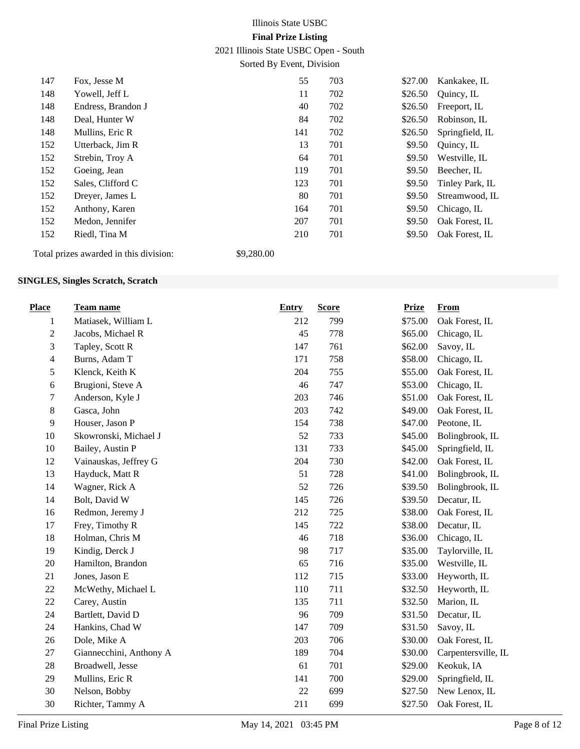2021 Illinois State USBC Open - South

Sorted By Event, Division

| 147 | Fox, Jesse M                                      | 55  | 703 | \$27.00 | Kankakee, IL    |
|-----|---------------------------------------------------|-----|-----|---------|-----------------|
| 148 | Yowell, Jeff L                                    | 11  | 702 | \$26.50 | Quincy, IL      |
| 148 | Endress, Brandon J                                | 40  | 702 | \$26.50 | Freeport, IL    |
| 148 | Deal, Hunter W                                    | 84  | 702 | \$26.50 | Robinson, IL    |
| 148 | Mullins, Eric R                                   | 141 | 702 | \$26.50 | Springfield, IL |
| 152 | Utterback, Jim R                                  | 13  | 701 | \$9.50  | Quincy, IL      |
| 152 | Strebin, Troy A                                   | 64  | 701 | \$9.50  | Westville, IL   |
| 152 | Goeing, Jean                                      | 119 | 701 | \$9.50  | Beecher, IL     |
| 152 | Sales, Clifford C                                 | 123 | 701 | \$9.50  | Tinley Park, IL |
| 152 | Dreyer, James L                                   | 80  | 701 | \$9.50  | Streamwood, IL  |
| 152 | Anthony, Karen                                    | 164 | 701 | \$9.50  | Chicago, IL     |
| 152 | Medon, Jennifer                                   | 207 | 701 | \$9.50  | Oak Forest, IL  |
| 152 | Riedl, Tina M                                     | 210 | 701 | \$9.50  | Oak Forest, IL  |
| .   | .<br>$\wedge$ $\wedge$ $\wedge$ $\wedge$ $\wedge$ |     |     |         |                 |

Total prizes awarded in this division: \$9,280.00

#### **SINGLES, Singles Scratch, Scratch**

| <b>Place</b>   | <b>Team name</b>        | <b>Entry</b> | <b>Score</b> | <b>Prize</b> | <b>From</b>         |
|----------------|-------------------------|--------------|--------------|--------------|---------------------|
| $\mathbf{1}$   | Matiasek, William L     | 212          | 799          | \$75.00      | Oak Forest, IL      |
| $\mathbf{2}$   | Jacobs, Michael R       | 45           | 778          | \$65.00      | Chicago, IL         |
| 3              | Tapley, Scott R         | 147          | 761          | \$62.00      | Savoy, IL           |
| $\overline{4}$ | Burns, Adam T           | 171          | 758          | \$58.00      | Chicago, IL         |
| 5              | Klenck, Keith K         | 204          | 755          | \$55.00      | Oak Forest, IL      |
| 6              | Brugioni, Steve A       | 46           | 747          | \$53.00      | Chicago, IL         |
| 7              | Anderson, Kyle J        | 203          | 746          | \$51.00      | Oak Forest, IL      |
| $8\,$          | Gasca, John             | 203          | 742          | \$49.00      | Oak Forest, IL      |
| 9              | Houser, Jason P         | 154          | 738          | \$47.00      | Peotone, IL         |
| 10             | Skowronski, Michael J   | 52           | 733          | \$45.00      | Bolingbrook, IL     |
| 10             | Bailey, Austin P        | 131          | 733          | \$45.00      | Springfield, IL     |
| 12             | Vainauskas, Jeffrey G   | 204          | 730          | \$42.00      | Oak Forest, IL      |
| 13             | Hayduck, Matt R         | 51           | 728          | \$41.00      | Bolingbrook, IL     |
| 14             | Wagner, Rick A          | 52           | 726          | \$39.50      | Bolingbrook, IL     |
| 14             | Bolt, David W           | 145          | 726          | \$39.50      | Decatur, IL         |
| 16             | Redmon, Jeremy J        | 212          | 725          | \$38.00      | Oak Forest, IL      |
| 17             | Frey, Timothy R         | 145          | 722          | \$38.00      | Decatur, IL         |
| 18             | Holman, Chris M         | 46           | 718          | \$36.00      | Chicago, IL         |
| 19             | Kindig, Derck J         | 98           | 717          | \$35.00      | Taylorville, IL     |
| 20             | Hamilton, Brandon       | 65           | 716          | \$35.00      | Westville, IL       |
| 21             | Jones, Jason E          | 112          | 715          | \$33.00      | Heyworth, IL        |
| 22             | McWethy, Michael L      | 110          | 711          | \$32.50      | Heyworth, IL        |
| 22             | Carey, Austin           | 135          | 711          | \$32.50      | Marion, IL          |
| 24             | Bartlett, David D       | 96           | 709          | \$31.50      | Decatur, IL         |
| 24             | Hankins, Chad W         | 147          | 709          | \$31.50      | Savoy, IL           |
| 26             | Dole, Mike A            | 203          | 706          | \$30.00      | Oak Forest, IL      |
| 27             | Giannecchini, Anthony A | 189          | 704          | \$30.00      | Carpentersville, IL |
| 28             | Broadwell, Jesse        | 61           | 701          | \$29.00      | Keokuk, IA          |
| 29             | Mullins, Eric R         | 141          | 700          | \$29.00      | Springfield, IL     |
| 30             | Nelson, Bobby           | 22           | 699          | \$27.50      | New Lenox, IL       |
| 30             | Richter, Tammy A        | 211          | 699          | \$27.50      | Oak Forest, IL      |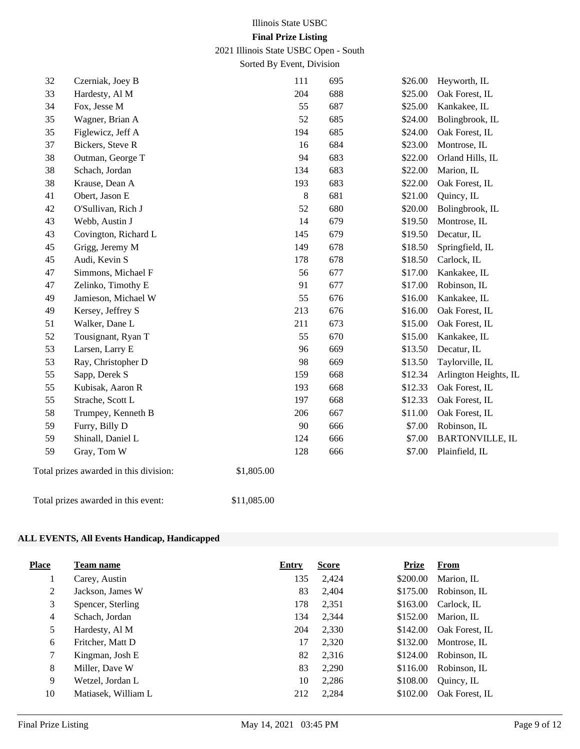2021 Illinois State USBC Open - South

Sorted By Event, Division

| 33<br>Hardesty, Al M<br>204<br>688<br>Oak Forest, IL<br>\$25.00<br>34<br>Fox, Jesse M<br>55<br>687<br>\$25.00<br>Kankakee, IL<br>52<br>35<br>Wagner, Brian A<br>685<br>\$24.00<br>Bolingbrook, IL<br>35<br>Figlewicz, Jeff A<br>194<br>\$24.00<br>685<br>Oak Forest, IL<br>37<br>Bickers, Steve R<br>16<br>684<br>\$23.00<br>Montrose, IL<br>38<br>Outman, George T<br>94<br>683<br>Orland Hills, IL<br>\$22.00<br>38<br>683<br>Schach, Jordan<br>134<br>\$22.00<br>Marion, IL<br>38<br>Krause, Dean A<br>193<br>683<br>\$22.00<br>Oak Forest, IL<br>Obert, Jason E<br>41<br>$8\,$<br>681<br>\$21.00<br>Quincy, IL<br>O'Sullivan, Rich J<br>52<br>680<br>Bolingbrook, IL<br>42<br>\$20.00<br>43<br>Webb, Austin J<br>14<br>679<br>\$19.50<br>Montrose, IL<br>43<br>145<br>Decatur, IL<br>Covington, Richard L<br>679<br>\$19.50<br>45<br>Grigg, Jeremy M<br>149<br>\$18.50<br>Springfield, IL<br>678<br>45<br>Audi, Kevin S<br>178<br>678<br>\$18.50<br>Carlock, IL<br>Simmons, Michael F<br>56<br>47<br>677<br>\$17.00<br>Kankakee, IL<br>91<br>677<br>47<br>Zelinko, Timothy E<br>\$17.00<br>Robinson, IL<br>55<br>Jamieson, Michael W<br>49<br>676<br>\$16.00<br>Kankakee, IL<br>213<br>49<br>Kersey, Jeffrey S<br>676<br>\$16.00<br>Oak Forest, IL<br>Walker, Dane L<br>211<br>673<br>Oak Forest, IL<br>51<br>\$15.00<br>52<br>Tousignant, Ryan T<br>55<br>670<br>\$15.00<br>Kankakee, IL<br>53<br>Larsen, Larry E<br>96<br>\$13.50<br>Decatur, IL<br>669<br>53<br>Ray, Christopher D<br>98<br>\$13.50<br>669<br>Taylorville, IL<br>159<br>55<br>Sapp, Derek S<br>668<br>\$12.34<br>55<br>Kubisak, Aaron R<br>Oak Forest, IL<br>193<br>668<br>\$12.33<br>197<br>55<br>Strache, Scott L<br>668<br>\$12.33<br>Oak Forest, IL<br>58<br>Trumpey, Kenneth B<br>206<br>Oak Forest, IL<br>667<br>\$11.00<br>59<br>Furry, Billy D<br>90<br>\$7.00<br>Robinson, IL<br>666<br>59<br>Shinall, Daniel L<br>124<br>\$7.00<br>666<br>59<br>Gray, Tom W<br>128<br>\$7.00<br>Plainfield, IL<br>666<br>Total prizes awarded in this division:<br>\$1,805.00 | Heyworth, IL           |
|------------------------------------------------------------------------------------------------------------------------------------------------------------------------------------------------------------------------------------------------------------------------------------------------------------------------------------------------------------------------------------------------------------------------------------------------------------------------------------------------------------------------------------------------------------------------------------------------------------------------------------------------------------------------------------------------------------------------------------------------------------------------------------------------------------------------------------------------------------------------------------------------------------------------------------------------------------------------------------------------------------------------------------------------------------------------------------------------------------------------------------------------------------------------------------------------------------------------------------------------------------------------------------------------------------------------------------------------------------------------------------------------------------------------------------------------------------------------------------------------------------------------------------------------------------------------------------------------------------------------------------------------------------------------------------------------------------------------------------------------------------------------------------------------------------------------------------------------------------------------------------------------------------------------------------------------------------------------------------------------------------------------------------------------|------------------------|
|                                                                                                                                                                                                                                                                                                                                                                                                                                                                                                                                                                                                                                                                                                                                                                                                                                                                                                                                                                                                                                                                                                                                                                                                                                                                                                                                                                                                                                                                                                                                                                                                                                                                                                                                                                                                                                                                                                                                                                                                                                                |                        |
|                                                                                                                                                                                                                                                                                                                                                                                                                                                                                                                                                                                                                                                                                                                                                                                                                                                                                                                                                                                                                                                                                                                                                                                                                                                                                                                                                                                                                                                                                                                                                                                                                                                                                                                                                                                                                                                                                                                                                                                                                                                |                        |
|                                                                                                                                                                                                                                                                                                                                                                                                                                                                                                                                                                                                                                                                                                                                                                                                                                                                                                                                                                                                                                                                                                                                                                                                                                                                                                                                                                                                                                                                                                                                                                                                                                                                                                                                                                                                                                                                                                                                                                                                                                                |                        |
|                                                                                                                                                                                                                                                                                                                                                                                                                                                                                                                                                                                                                                                                                                                                                                                                                                                                                                                                                                                                                                                                                                                                                                                                                                                                                                                                                                                                                                                                                                                                                                                                                                                                                                                                                                                                                                                                                                                                                                                                                                                |                        |
|                                                                                                                                                                                                                                                                                                                                                                                                                                                                                                                                                                                                                                                                                                                                                                                                                                                                                                                                                                                                                                                                                                                                                                                                                                                                                                                                                                                                                                                                                                                                                                                                                                                                                                                                                                                                                                                                                                                                                                                                                                                |                        |
|                                                                                                                                                                                                                                                                                                                                                                                                                                                                                                                                                                                                                                                                                                                                                                                                                                                                                                                                                                                                                                                                                                                                                                                                                                                                                                                                                                                                                                                                                                                                                                                                                                                                                                                                                                                                                                                                                                                                                                                                                                                |                        |
|                                                                                                                                                                                                                                                                                                                                                                                                                                                                                                                                                                                                                                                                                                                                                                                                                                                                                                                                                                                                                                                                                                                                                                                                                                                                                                                                                                                                                                                                                                                                                                                                                                                                                                                                                                                                                                                                                                                                                                                                                                                |                        |
|                                                                                                                                                                                                                                                                                                                                                                                                                                                                                                                                                                                                                                                                                                                                                                                                                                                                                                                                                                                                                                                                                                                                                                                                                                                                                                                                                                                                                                                                                                                                                                                                                                                                                                                                                                                                                                                                                                                                                                                                                                                |                        |
|                                                                                                                                                                                                                                                                                                                                                                                                                                                                                                                                                                                                                                                                                                                                                                                                                                                                                                                                                                                                                                                                                                                                                                                                                                                                                                                                                                                                                                                                                                                                                                                                                                                                                                                                                                                                                                                                                                                                                                                                                                                |                        |
|                                                                                                                                                                                                                                                                                                                                                                                                                                                                                                                                                                                                                                                                                                                                                                                                                                                                                                                                                                                                                                                                                                                                                                                                                                                                                                                                                                                                                                                                                                                                                                                                                                                                                                                                                                                                                                                                                                                                                                                                                                                |                        |
|                                                                                                                                                                                                                                                                                                                                                                                                                                                                                                                                                                                                                                                                                                                                                                                                                                                                                                                                                                                                                                                                                                                                                                                                                                                                                                                                                                                                                                                                                                                                                                                                                                                                                                                                                                                                                                                                                                                                                                                                                                                |                        |
|                                                                                                                                                                                                                                                                                                                                                                                                                                                                                                                                                                                                                                                                                                                                                                                                                                                                                                                                                                                                                                                                                                                                                                                                                                                                                                                                                                                                                                                                                                                                                                                                                                                                                                                                                                                                                                                                                                                                                                                                                                                |                        |
|                                                                                                                                                                                                                                                                                                                                                                                                                                                                                                                                                                                                                                                                                                                                                                                                                                                                                                                                                                                                                                                                                                                                                                                                                                                                                                                                                                                                                                                                                                                                                                                                                                                                                                                                                                                                                                                                                                                                                                                                                                                |                        |
|                                                                                                                                                                                                                                                                                                                                                                                                                                                                                                                                                                                                                                                                                                                                                                                                                                                                                                                                                                                                                                                                                                                                                                                                                                                                                                                                                                                                                                                                                                                                                                                                                                                                                                                                                                                                                                                                                                                                                                                                                                                |                        |
|                                                                                                                                                                                                                                                                                                                                                                                                                                                                                                                                                                                                                                                                                                                                                                                                                                                                                                                                                                                                                                                                                                                                                                                                                                                                                                                                                                                                                                                                                                                                                                                                                                                                                                                                                                                                                                                                                                                                                                                                                                                |                        |
|                                                                                                                                                                                                                                                                                                                                                                                                                                                                                                                                                                                                                                                                                                                                                                                                                                                                                                                                                                                                                                                                                                                                                                                                                                                                                                                                                                                                                                                                                                                                                                                                                                                                                                                                                                                                                                                                                                                                                                                                                                                |                        |
|                                                                                                                                                                                                                                                                                                                                                                                                                                                                                                                                                                                                                                                                                                                                                                                                                                                                                                                                                                                                                                                                                                                                                                                                                                                                                                                                                                                                                                                                                                                                                                                                                                                                                                                                                                                                                                                                                                                                                                                                                                                |                        |
|                                                                                                                                                                                                                                                                                                                                                                                                                                                                                                                                                                                                                                                                                                                                                                                                                                                                                                                                                                                                                                                                                                                                                                                                                                                                                                                                                                                                                                                                                                                                                                                                                                                                                                                                                                                                                                                                                                                                                                                                                                                |                        |
|                                                                                                                                                                                                                                                                                                                                                                                                                                                                                                                                                                                                                                                                                                                                                                                                                                                                                                                                                                                                                                                                                                                                                                                                                                                                                                                                                                                                                                                                                                                                                                                                                                                                                                                                                                                                                                                                                                                                                                                                                                                |                        |
|                                                                                                                                                                                                                                                                                                                                                                                                                                                                                                                                                                                                                                                                                                                                                                                                                                                                                                                                                                                                                                                                                                                                                                                                                                                                                                                                                                                                                                                                                                                                                                                                                                                                                                                                                                                                                                                                                                                                                                                                                                                |                        |
|                                                                                                                                                                                                                                                                                                                                                                                                                                                                                                                                                                                                                                                                                                                                                                                                                                                                                                                                                                                                                                                                                                                                                                                                                                                                                                                                                                                                                                                                                                                                                                                                                                                                                                                                                                                                                                                                                                                                                                                                                                                |                        |
|                                                                                                                                                                                                                                                                                                                                                                                                                                                                                                                                                                                                                                                                                                                                                                                                                                                                                                                                                                                                                                                                                                                                                                                                                                                                                                                                                                                                                                                                                                                                                                                                                                                                                                                                                                                                                                                                                                                                                                                                                                                |                        |
|                                                                                                                                                                                                                                                                                                                                                                                                                                                                                                                                                                                                                                                                                                                                                                                                                                                                                                                                                                                                                                                                                                                                                                                                                                                                                                                                                                                                                                                                                                                                                                                                                                                                                                                                                                                                                                                                                                                                                                                                                                                | Arlington Heights, IL  |
|                                                                                                                                                                                                                                                                                                                                                                                                                                                                                                                                                                                                                                                                                                                                                                                                                                                                                                                                                                                                                                                                                                                                                                                                                                                                                                                                                                                                                                                                                                                                                                                                                                                                                                                                                                                                                                                                                                                                                                                                                                                |                        |
|                                                                                                                                                                                                                                                                                                                                                                                                                                                                                                                                                                                                                                                                                                                                                                                                                                                                                                                                                                                                                                                                                                                                                                                                                                                                                                                                                                                                                                                                                                                                                                                                                                                                                                                                                                                                                                                                                                                                                                                                                                                |                        |
|                                                                                                                                                                                                                                                                                                                                                                                                                                                                                                                                                                                                                                                                                                                                                                                                                                                                                                                                                                                                                                                                                                                                                                                                                                                                                                                                                                                                                                                                                                                                                                                                                                                                                                                                                                                                                                                                                                                                                                                                                                                |                        |
|                                                                                                                                                                                                                                                                                                                                                                                                                                                                                                                                                                                                                                                                                                                                                                                                                                                                                                                                                                                                                                                                                                                                                                                                                                                                                                                                                                                                                                                                                                                                                                                                                                                                                                                                                                                                                                                                                                                                                                                                                                                |                        |
|                                                                                                                                                                                                                                                                                                                                                                                                                                                                                                                                                                                                                                                                                                                                                                                                                                                                                                                                                                                                                                                                                                                                                                                                                                                                                                                                                                                                                                                                                                                                                                                                                                                                                                                                                                                                                                                                                                                                                                                                                                                | <b>BARTONVILLE, IL</b> |
|                                                                                                                                                                                                                                                                                                                                                                                                                                                                                                                                                                                                                                                                                                                                                                                                                                                                                                                                                                                                                                                                                                                                                                                                                                                                                                                                                                                                                                                                                                                                                                                                                                                                                                                                                                                                                                                                                                                                                                                                                                                |                        |
|                                                                                                                                                                                                                                                                                                                                                                                                                                                                                                                                                                                                                                                                                                                                                                                                                                                                                                                                                                                                                                                                                                                                                                                                                                                                                                                                                                                                                                                                                                                                                                                                                                                                                                                                                                                                                                                                                                                                                                                                                                                |                        |
| Total prizes awarded in this event:<br>\$11,085.00                                                                                                                                                                                                                                                                                                                                                                                                                                                                                                                                                                                                                                                                                                                                                                                                                                                                                                                                                                                                                                                                                                                                                                                                                                                                                                                                                                                                                                                                                                                                                                                                                                                                                                                                                                                                                                                                                                                                                                                             |                        |

## **ALL EVENTS, All Events Handicap, Handicapped**

| <b>Place</b> | <b>Team name</b>    | <b>Entry</b> | <b>Score</b> | Prize    | <b>From</b>    |
|--------------|---------------------|--------------|--------------|----------|----------------|
| Τ.           | Carey, Austin       | 135          | 2,424        | \$200.00 | Marion, IL     |
| 2            | Jackson, James W    | 83           | 2,404        | \$175.00 | Robinson, IL   |
| 3            | Spencer, Sterling   | 178          | 2,351        | \$163.00 | Carlock, IL    |
| 4            | Schach, Jordan      | 134          | 2,344        | \$152.00 | Marion, IL     |
| 5            | Hardesty, Al M      | 204          | 2,330        | \$142.00 | Oak Forest, IL |
| 6            | Fritcher, Matt D    | 17           | 2,320        | \$132.00 | Montrose, IL   |
| 7            | Kingman, Josh E     | 82           | 2,316        | \$124.00 | Robinson, IL   |
| 8            | Miller, Dave W      | 83           | 2,290        | \$116.00 | Robinson, IL   |
| 9            | Wetzel, Jordan L    | 10           | 2,286        | \$108.00 | Quincy, IL     |
| 10           | Matiasek, William L | 212          | 2,284        | \$102.00 | Oak Forest, IL |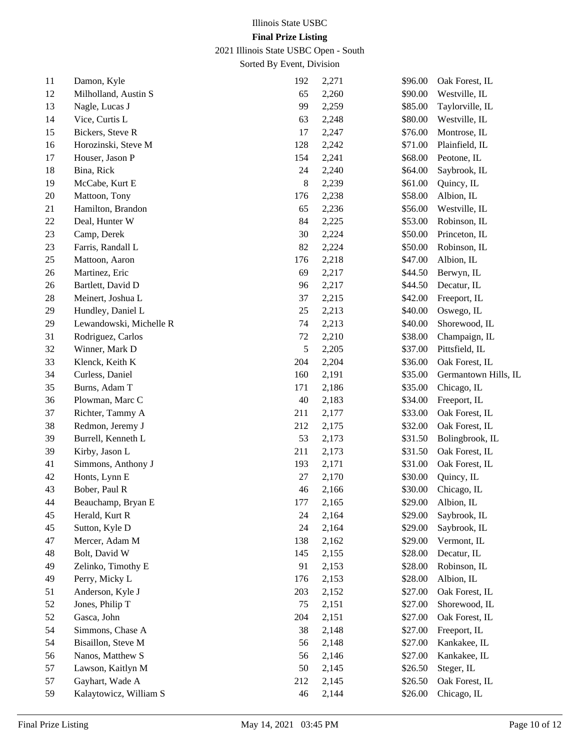2021 Illinois State USBC Open - South

| 11 | Damon, Kyle             | 192 | 2,271 | \$96.00 | Oak Forest, IL       |
|----|-------------------------|-----|-------|---------|----------------------|
| 12 | Milholland, Austin S    | 65  | 2,260 | \$90.00 | Westville, IL        |
| 13 | Nagle, Lucas J          | 99  | 2,259 | \$85.00 | Taylorville, IL      |
| 14 | Vice, Curtis L          | 63  | 2,248 | \$80.00 | Westville, IL        |
| 15 | Bickers, Steve R        | 17  | 2,247 | \$76.00 | Montrose, IL         |
| 16 | Horozinski, Steve M     | 128 | 2,242 | \$71.00 | Plainfield, IL       |
| 17 | Houser, Jason P         | 154 | 2,241 | \$68.00 | Peotone, IL          |
| 18 | Bina, Rick              | 24  | 2,240 | \$64.00 | Saybrook, IL         |
| 19 | McCabe, Kurt E          | 8   | 2,239 | \$61.00 | Quincy, IL           |
| 20 | Mattoon, Tony           | 176 | 2,238 | \$58.00 | Albion, IL           |
| 21 | Hamilton, Brandon       | 65  | 2,236 | \$56.00 | Westville, IL        |
| 22 | Deal, Hunter W          | 84  | 2,225 | \$53.00 | Robinson, IL         |
| 23 | Camp, Derek             | 30  | 2,224 | \$50.00 | Princeton, IL        |
| 23 | Farris, Randall L       | 82  | 2,224 | \$50.00 | Robinson, IL         |
| 25 | Mattoon, Aaron          | 176 | 2,218 | \$47.00 | Albion, IL           |
| 26 | Martinez, Eric          | 69  | 2,217 | \$44.50 | Berwyn, IL           |
| 26 | Bartlett, David D       | 96  | 2,217 | \$44.50 | Decatur, IL          |
| 28 | Meinert, Joshua L       | 37  | 2,215 | \$42.00 | Freeport, IL         |
| 29 | Hundley, Daniel L       | 25  | 2,213 | \$40.00 | Oswego, IL           |
| 29 | Lewandowski, Michelle R | 74  | 2,213 | \$40.00 | Shorewood, IL        |
| 31 | Rodriguez, Carlos       | 72  | 2,210 | \$38.00 | Champaign, IL        |
| 32 | Winner, Mark D          | 5   | 2,205 | \$37.00 | Pittsfield, IL       |
| 33 | Klenck, Keith K         | 204 | 2,204 | \$36.00 | Oak Forest, IL       |
| 34 | Curless, Daniel         | 160 | 2,191 | \$35.00 | Germantown Hills, IL |
| 35 | Burns, Adam T           | 171 | 2,186 | \$35.00 | Chicago, IL          |
| 36 | Plowman, Marc C         | 40  | 2,183 | \$34.00 | Freeport, IL         |
| 37 | Richter, Tammy A        | 211 | 2,177 | \$33.00 | Oak Forest, IL       |
| 38 | Redmon, Jeremy J        | 212 | 2,175 | \$32.00 | Oak Forest, IL       |
| 39 | Burrell, Kenneth L      | 53  | 2,173 | \$31.50 | Bolingbrook, IL      |
| 39 | Kirby, Jason L          | 211 | 2,173 | \$31.50 | Oak Forest, IL       |
| 41 | Simmons, Anthony J      | 193 | 2,171 | \$31.00 | Oak Forest, IL       |
| 42 | Honts, Lynn E           | 27  | 2,170 | \$30.00 | Quincy, IL           |
| 43 | Bober, Paul R           | 46  | 2,166 | \$30.00 | Chicago, IL          |
| 44 | Beauchamp, Bryan E      | 177 | 2,165 | \$29.00 | Albion, IL           |
| 45 | Herald, Kurt R          | 24  | 2,164 | \$29.00 | Saybrook, IL         |
| 45 | Sutton, Kyle D          | 24  | 2,164 | \$29.00 | Saybrook, IL         |
| 47 | Mercer, Adam M          | 138 | 2,162 | \$29.00 | Vermont, IL          |
| 48 | Bolt, David W           | 145 | 2,155 | \$28.00 | Decatur, IL          |
| 49 | Zelinko, Timothy E      | 91  | 2,153 | \$28.00 | Robinson, IL         |
| 49 | Perry, Micky L          | 176 | 2,153 | \$28.00 | Albion, IL           |
| 51 | Anderson, Kyle J        | 203 | 2,152 | \$27.00 | Oak Forest, IL       |
| 52 | Jones, Philip T         | 75  | 2,151 | \$27.00 | Shorewood, IL        |
| 52 | Gasca, John             | 204 | 2,151 | \$27.00 | Oak Forest, IL       |
| 54 | Simmons, Chase A        | 38  | 2,148 | \$27.00 | Freeport, IL         |
| 54 | Bisaillon, Steve M      | 56  | 2,148 | \$27.00 | Kankakee, IL         |
| 56 | Nanos, Matthew S        | 56  | 2,146 | \$27.00 | Kankakee, IL         |
| 57 | Lawson, Kaitlyn M       | 50  | 2,145 | \$26.50 | Steger, IL           |
| 57 | Gayhart, Wade A         | 212 | 2,145 | \$26.50 | Oak Forest, IL       |
| 59 | Kalaytowicz, William S  | 46  | 2,144 | \$26.00 | Chicago, IL          |
|    |                         |     |       |         |                      |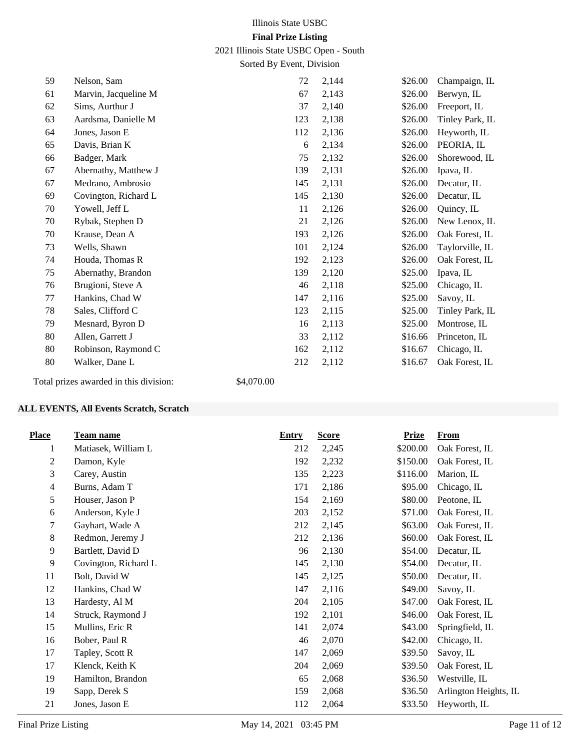2021 Illinois State USBC Open - South

Sorted By Event, Division

| 59 | Nelson, Sam                                                                                                                       | 72  | 2,144 | \$26.00 | Champaign, IL   |
|----|-----------------------------------------------------------------------------------------------------------------------------------|-----|-------|---------|-----------------|
| 61 | Marvin, Jacqueline M                                                                                                              | 67  | 2,143 | \$26.00 | Berwyn, IL      |
| 62 | Sims, Aurthur J                                                                                                                   | 37  | 2,140 | \$26.00 | Freeport, IL    |
| 63 | Aardsma, Danielle M                                                                                                               | 123 | 2,138 | \$26.00 | Tinley Park, IL |
| 64 | Jones, Jason E                                                                                                                    | 112 | 2,136 | \$26.00 | Heyworth, IL    |
| 65 | Davis, Brian K                                                                                                                    | 6   | 2,134 | \$26.00 | PEORIA, IL      |
| 66 | Badger, Mark                                                                                                                      | 75  | 2,132 | \$26.00 | Shorewood, IL   |
| 67 | Abernathy, Matthew J                                                                                                              | 139 | 2,131 | \$26.00 | Ipava, IL       |
| 67 | Medrano, Ambrosio                                                                                                                 | 145 | 2,131 | \$26.00 | Decatur, IL     |
| 69 | Covington, Richard L                                                                                                              | 145 | 2,130 | \$26.00 | Decatur, IL     |
| 70 | Yowell, Jeff L                                                                                                                    | 11  | 2,126 | \$26.00 | Quincy, IL      |
| 70 | Rybak, Stephen D                                                                                                                  | 21  | 2,126 | \$26.00 | New Lenox, IL   |
| 70 | Krause, Dean A                                                                                                                    | 193 | 2,126 | \$26.00 | Oak Forest, IL  |
| 73 | Wells, Shawn                                                                                                                      | 101 | 2,124 | \$26.00 | Taylorville, IL |
| 74 | Houda, Thomas R                                                                                                                   | 192 | 2,123 | \$26.00 | Oak Forest, IL  |
| 75 | Abernathy, Brandon                                                                                                                | 139 | 2,120 | \$25.00 | Ipava, IL       |
| 76 | Brugioni, Steve A                                                                                                                 | 46  | 2,118 | \$25.00 | Chicago, IL     |
| 77 | Hankins, Chad W                                                                                                                   | 147 | 2,116 | \$25.00 | Savoy, IL       |
| 78 | Sales, Clifford C                                                                                                                 | 123 | 2,115 | \$25.00 | Tinley Park, IL |
| 79 | Mesnard, Byron D                                                                                                                  | 16  | 2,113 | \$25.00 | Montrose, IL    |
| 80 | Allen, Garrett J                                                                                                                  | 33  | 2,112 | \$16.66 | Princeton, IL   |
| 80 | Robinson, Raymond C                                                                                                               | 162 | 2,112 | \$16.67 | Chicago, IL     |
| 80 | Walker, Dane L                                                                                                                    | 212 | 2,112 | \$16.67 | Oak Forest, IL  |
|    | $\mathbf{a}$ , $\mathbf{a}$ , $\mathbf{a}$ , $\mathbf{a}$ , $\mathbf{a}$ , $\mathbf{a}$ , $\mathbf{a}$ , $\mathbf{a}$<br>0.107000 |     |       |         |                 |

Total prizes awarded in this division: \$4,070.00

#### **ALL EVENTS, All Events Scratch, Scratch**

| <b>Place</b>   | <b>Team name</b>     | <b>Entry</b> | <b>Score</b> | <b>Prize</b> | <b>From</b>           |
|----------------|----------------------|--------------|--------------|--------------|-----------------------|
| 1              | Matiasek, William L  | 212          | 2,245        | \$200.00     | Oak Forest, IL        |
| 2              | Damon, Kyle          | 192          | 2,232        | \$150.00     | Oak Forest, IL        |
| 3              | Carey, Austin        | 135          | 2,223        | \$116.00     | Marion, IL            |
| $\overline{4}$ | Burns, Adam T        | 171          | 2,186        | \$95.00      | Chicago, IL           |
| 5              | Houser, Jason P      | 154          | 2,169        | \$80.00      | Peotone, IL           |
| 6              | Anderson, Kyle J     | 203          | 2,152        | \$71.00      | Oak Forest, IL        |
| 7              | Gayhart, Wade A      | 212          | 2,145        | \$63.00      | Oak Forest, IL        |
| 8              | Redmon, Jeremy J     | 212          | 2,136        | \$60.00      | Oak Forest, IL        |
| 9              | Bartlett, David D    | 96           | 2,130        | \$54.00      | Decatur, IL           |
| $\overline{9}$ | Covington, Richard L | 145          | 2,130        | \$54.00      | Decatur, IL           |
| 11             | Bolt, David W        | 145          | 2,125        | \$50.00      | Decatur, IL           |
| 12             | Hankins, Chad W      | 147          | 2,116        | \$49.00      | Savoy, IL             |
| 13             | Hardesty, Al M       | 204          | 2,105        | \$47.00      | Oak Forest, IL        |
| 14             | Struck, Raymond J    | 192          | 2,101        | \$46.00      | Oak Forest, IL        |
| 15             | Mullins, Eric R      | 141          | 2,074        | \$43.00      | Springfield, IL       |
| 16             | Bober, Paul R        | 46           | 2,070        | \$42.00      | Chicago, IL           |
| 17             | Tapley, Scott R      | 147          | 2,069        | \$39.50      | Savoy, IL             |
| 17             | Klenck, Keith K      | 204          | 2,069        | \$39.50      | Oak Forest, IL        |
| 19             | Hamilton, Brandon    | 65           | 2,068        | \$36.50      | Westville, IL         |
| 19             | Sapp, Derek S        | 159          | 2,068        | \$36.50      | Arlington Heights, IL |
| 21             | Jones, Jason E       | 112          | 2,064        | \$33.50      | Heyworth, IL          |